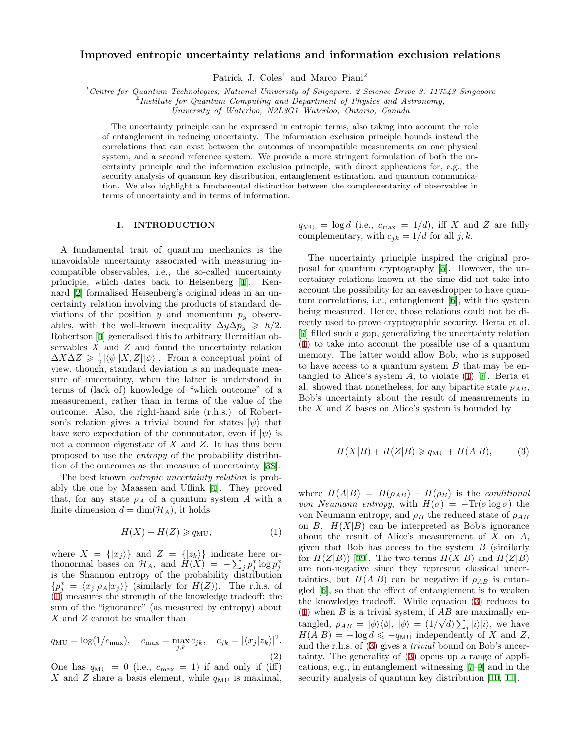# **Improved entropic uncertainty relations and information exclusion relations**

Patrick J. Coles<sup>1</sup> and Marco Piani<sup>2</sup>

*<sup>1</sup>Centre for Quantum Technologies, National University of Singapore, 2 Science Drive 3, 117543 Singapore*

*2 Institute for Quantum Computing and Department of Physics and Astronomy,*

*University of Waterloo, N2L3G1 Waterloo, Ontario, Canada*

The uncertainty principle can be expressed in entropic terms, also taking into account the role of entanglement in reducing uncertainty. The information exclusion principle bounds instead the correlations that can exist between the outcomes of incompatible measurements on one physical system, and a second reference system. We provide a more stringent formulation of both the uncertainty principle and the information exclusion principle, with direct applications for, e.g., the security analysis of quantum key distribution, entanglement estimation, and quantum communication. We also highlight a fundamental distinction between the complementarity of observables in terms of uncertainty and in terms of information.

### **I. INTRODUCTION**

A fundamental trait of quantum mechanics is the unavoidable uncertainty associated with measuring incompatible observables, i.e., the so-called uncertainty principle, which dates back to Heisenberg [[1](#page-9-0)]. Kennard [\[2](#page-9-1)] formalised Heisenberg's original ideas in an uncertainty relation involving the products of standard deviations of the position  $y$  and momentum  $p_y$  observables, with the well-known inequality  $\Delta y \Delta p_y \geq \hbar/2$ . Robertson [\[3](#page-9-2)] generalised this to arbitrary Hermitian observables *X* and *Z* and found the uncertainty relation  $\Delta X \Delta Z$  ≥  $\frac{1}{2} |\langle \psi | [X, Z] | \psi \rangle|$ . From a conceptual point of view, though, standard deviation is an inadequate measure of uncertainty, when the latter is understood in terms of (lack of) knowledge of "which outcome" of a measurement, rather than in terms of the value of the outcome. Also, the right-hand side (r.h.s.) of Robertson's relation gives a trivial bound for states  $|\psi\rangle$  that have zero expectation of the commutator, even if  $|\psi\rangle$  is not a common eigenstate of *X* and *Z*. It has thus been proposed to use the *entropy* of the probability distribution of the outcomes as the measure of uncertainty [[38\]](#page-10-0).

The best known *entropic uncertainty relation* is probably the one by Maassen and Uffink [[4\]](#page-9-3). They proved that, for any state  $\rho_A$  of a quantum system A with a finite dimension  $d = \dim(\mathcal{H}_A)$ , it holds

<span id="page-0-0"></span>
$$
H(X) + H(Z) \geqslant q_{\text{MU}},\tag{1}
$$

where  $X = \{|x_j\rangle\}$  and  $Z = \{|z_k\rangle\}$  indicate here orthonormal bases on  $\mathcal{H}_A$ , and  $H(X) = -\sum_j p_j^x \log p_j^x$ is the Shannon entropy of the probability  $\overline{dist}$ ribution  ${p_j^x = \langle x_j | \rho_A | x_j \rangle}$  (similarly for *H*(*Z*)). The r.h.s. of ([1\)](#page-0-0) measures the strength of the knowledge tradeoff: the sum of the "ignorance" (as measured by entropy) about *X* and *Z* cannot be smaller than

<span id="page-0-2"></span>
$$
q_{\rm MU} = \log(1/c_{\rm max}), \quad c_{\rm max} = \max_{j,k} c_{jk}, \quad c_{jk} = |\langle x_j | z_k \rangle|^2.
$$
\n(2)

One has  $q_{\text{MU}} = 0$  (i.e.,  $c_{\text{max}} = 1$ ) if and only if (iff) *X* and *Z* share a basis element, while  $q_{MU}$  is maximal,

 $q_{\text{MU}} = \log d$  (i.e.,  $c_{\text{max}} = 1/d$ ), iff *X* and *Z* are fully complementary, with  $c_{jk} = 1/d$  for all  $j, k$ .

The uncertainty principle inspired the original proposal for quantum cryptography [[5\]](#page-9-4). However, the uncertainty relations known at the time did not take into account the possibility for an eavesdropper to have quantum correlations, i.e., entanglement [\[6](#page-9-5)], with the system being measured. Hence, those relations could not be directly used to prove cryptographic security. Berta et al. [[7\]](#page-9-6) filled such a gap, generalizing the uncertainty relation ([1\)](#page-0-0) to take into account the possible use of a quantum memory. The latter would allow Bob, who is supposed to have access to a quantum system *B* that may be entangled to Alice's system *A*, to violate [\(1](#page-0-0)) [[7\]](#page-9-6). Berta et al. showed that nonetheless, for any bipartite state  $\rho_{AB}$ , Bob's uncertainty about the result of measurements in the *X* and *Z* bases on Alice's system is bounded by

<span id="page-0-1"></span>
$$
H(X|B) + H(Z|B) \ge q_{\text{MU}} + H(A|B), \tag{3}
$$

where  $H(A|B) = H(\rho_{AB}) - H(\rho_B)$  is the *conditional von Neumann entropy*, with  $H(\sigma) = -\text{Tr}(\sigma \log \sigma)$  the von Neumann entropy, and  $\rho_B$  the reduced state of  $\rho_{AB}$ on *B*.  $H(X|B)$  can be interpreted as Bob's ignorance about the result of Alice's measurement of *X* on *A*, given that Bob has access to the system *B* (similarly for  $H(Z|B)$  [[39\]](#page-10-1). The two terms  $H(X|B)$  and  $H(Z|B)$ are non-negative since they represent classical uncertainties, but  $H(A|B)$  can be negative if  $\rho_{AB}$  is entangled [\[6](#page-9-5)], so that the effect of entanglement is to weaken the knowledge tradeoff. While equation ([3\)](#page-0-1) reduces to ([1\)](#page-0-0) when *B* is a trivial system, if  $\overline{AB}$  are maximally entangled,  $\rho_{AB} = |\phi\rangle\langle\phi|, |\phi\rangle = (1/\sqrt{d})\sum_{i} |i\rangle|i\rangle$ , we have  $H(A|B) = -\log d \leqslant -q_{\text{MU}}$  independently of *X* and *Z*, and the r.h.s. of ([3](#page-0-1)) gives a *trivial* bound on Bob's uncertainty. The generality of ([3\)](#page-0-1) opens up a range of applications, e.g., in entanglement witnessing [\[7](#page-9-6)[–9](#page-9-7)] and in the security analysis of quantum key distribution [[10](#page-10-2), [11](#page-10-3)].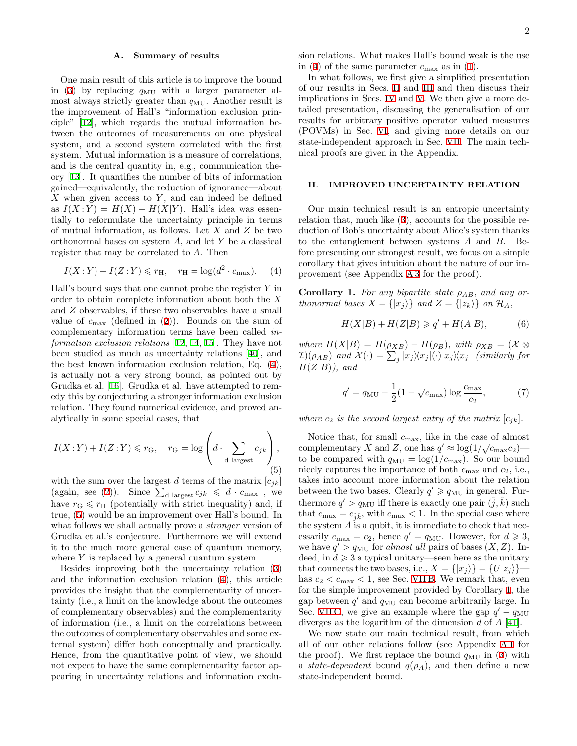### **A. Summary of results**

One main result of this article is to improve the bound in ([3\)](#page-0-1) by replacing  $q_{\text{MU}}$  with a larger parameter almost always strictly greater than  $q_{\text{MU}}$ . Another result is the improvement of Hall's "information exclusion principle" [[12\]](#page-10-4), which regards the mutual information between the outcomes of measurements on one physical system, and a second system correlated with the first system. Mutual information is a measure of correlations, and is the central quantity in, e.g., communication theory [[13](#page-10-5)]. It quantifies the number of bits of information gained—equivalently, the reduction of ignorance—about *X* when given access to *Y* , and can indeed be defined as  $I(X:Y) = H(X) - H(X|Y)$ . Hall's idea was essentially to reformulate the uncertainty principle in terms of mutual information, as follows. Let *X* and *Z* be two orthonormal bases on system *A*, and let *Y* be a classical register that may be correlated to *A*. Then

$$
I(X:Y) + I(Z:Y) \le r_{\mathrm{H}}, \quad r_{\mathrm{H}} = \log(d^2 \cdot c_{\mathrm{max}}). \tag{4}
$$

Hall's bound says that one cannot probe the register *Y* in order to obtain complete information about both the *X* and *Z* observables, if these two observables have a small value of  $c_{\text{max}}$  (defined in [\(2](#page-0-2))). Bounds on the sum of complementary information terms have been called *information exclusion relations* [[12,](#page-10-4) [14](#page-10-6), [15](#page-10-7)]. They have not been studied as much as uncertainty relations [[40](#page-10-8)], and the best known information exclusion relation, Eq. [\(4](#page-1-0)), is actually not a very strong bound, as pointed out by Grudka et al. [\[16](#page-10-9)]. Grudka et al. have attempted to remedy this by conjecturing a stronger information exclusion relation. They found numerical evidence, and proved analytically in some special cases, that

<span id="page-1-1"></span>
$$
I(X:Y) + I(Z:Y) \leq r_{\mathcal{G}}, \quad r_{\mathcal{G}} = \log\left(d \cdot \sum_{\text{d largest}} c_{jk}\right),\tag{5}
$$

with the sum over the largest *d* terms of the matrix  $[c_{jk}]$ (again, see [\(2](#page-0-2))). Since  $\sum_{d \text{ largest}} c_{jk} \leq d \cdot c_{\text{max}}$ , we have  $r_{\rm G} \leq r_{\rm H}$  (potentially with strict inequality) and, if true, [\(5](#page-1-1)) would be an improvement over Hall's bound. In what follows we shall actually prove a *stronger* version of Grudka et al.'s conjecture. Furthermore we will extend it to the much more general case of quantum memory, where *Y* is replaced by a general quantum system.

Besides improving both the uncertainty relation ([3](#page-0-1)) and the information exclusion relation ([4\)](#page-1-0), this article provides the insight that the complementarity of uncertainty (i.e., a limit on the knowledge about the outcomes of complementary observables) and the complementarity of information (i.e., a limit on the correlations between the outcomes of complementary observables and some external system) differ both conceptually and practically. Hence, from the quantitative point of view, we should not expect to have the same complementarity factor appearing in uncertainty relations and information exclu-

sion relations. What makes Hall's bound weak is the use in ([4](#page-1-0)) of the same parameter  $c_{\text{max}}$  as in [\(1](#page-0-0)).

In what follows, we first give a simplified presentation of our results in Secs. [II](#page-1-2) and [III](#page-2-0) and then discuss their implications in Secs. [IV](#page-3-0) and [V.](#page-3-1) We then give a more detailed presentation, discussing the generalisation of our results for arbitrary positive operator valued measures (POVMs) in Sec. [VI](#page-3-2), and giving more details on our state-independent approach in Sec. [VII.](#page-6-0) The main technical proofs are given in the Appendix.

# <span id="page-1-2"></span>**II. IMPROVED UNCERTAINTY RELATION**

Our main technical result is an entropic uncertainty relation that, much like ([3\)](#page-0-1), accounts for the possible reduction of Bob's uncertainty about Alice's system thanks to the entanglement between systems *A* and *B*. Before presenting our strongest result, we focus on a simple corollary that gives intuition about the nature of our improvement (see Appendix [A 3](#page-9-8) for the proof).

<span id="page-1-3"></span><span id="page-1-0"></span>**Corollary 1.** *For any bipartite state ρAB, and any orthonormal bases*  $X = \{|x_j\rangle\}$  *and*  $Z = \{|z_k\rangle\}$  *on*  $\mathcal{H}_A$ *,* 

$$
H(X|B) + H(Z|B) \geqslant q' + H(A|B),\tag{6}
$$

*where*  $H(X|B) = H(\rho_{XB}) - H(\rho_B)$ *, with*  $\rho_{XB} = (X \otimes$  $\mathcal{I})(\rho_{AB})$  and  $\mathcal{X}(\cdot) = \sum_j |x_j\rangle\langle x_j|(\cdot)|x_j\rangle\langle x_j|$  (similarly for *H*(*Z|B*)*), and*

$$
q' = q_{\rm MU} + \frac{1}{2}(1 - \sqrt{c_{\rm max}}) \log \frac{c_{\rm max}}{c_2},\tag{7}
$$

*where*  $c_2$  *is the second largest entry of the matrix*  $[c_{jk}]$ *.* 

Notice that, for small  $c_{\text{max}}$ , like in the case of almost complementary *X* and *Z*, one has  $q' \approx \log(1/\sqrt{c_{\max}c_2})$  to be compared with  $q_{\text{MU}} = \log(1/c_{\text{max}})$ . So our bound nicely captures the importance of both *c*max and *c*2, i.e., takes into account more information about the relation between the two bases. Clearly  $q' \geq q_{\text{MU}}$  in general. Furthermore  $q' > q_{\text{MU}}$  iff there is exactly one pair  $(\hat{j}, \hat{k})$  such that  $c_{\text{max}} = c_{\hat{i}\hat{k}}$ , with  $c_{\text{max}} < 1$ . In the special case where the system *A* is a qubit, it is immediate to check that necessarily  $c_{\text{max}} = c_2$ , hence  $q' = q_{\text{MU}}$ . However, for  $d \geqslant 3$ , we have  $q' > q_{\text{MU}}$  for *almost all* pairs of bases  $(X, Z)$ . Indeed, in  $d \geqslant 3$  a typical unitary—seen here as the unitary that connects the two bases, i.e.,  $X = \{ |x_i \rangle \} = \{ U | z_i \rangle \}$  has  $c_2 < c_{\text{max}} < 1$ , see Sec. [VII B](#page-6-1). We remark that, even for the simple improvement provided by Corollary [1](#page-1-3), the gap between *q ′* and *q*MU can become arbitrarily large. In Sec. [VII C,](#page-7-0) we give an example where the gap  $q' - q_{\text{MU}}$ diverges as the logarithm of the dimension *d* of *A* [\[41](#page-10-10)].

We now state our main technical result, from which all of our other relations follow (see Appendix [A 1](#page-8-0) for the proof). We first replace the bound  $q_{MU}$  in [\(3](#page-0-1)) with a *state-dependent* bound  $q(\rho_A)$ , and then define a new state-independent bound.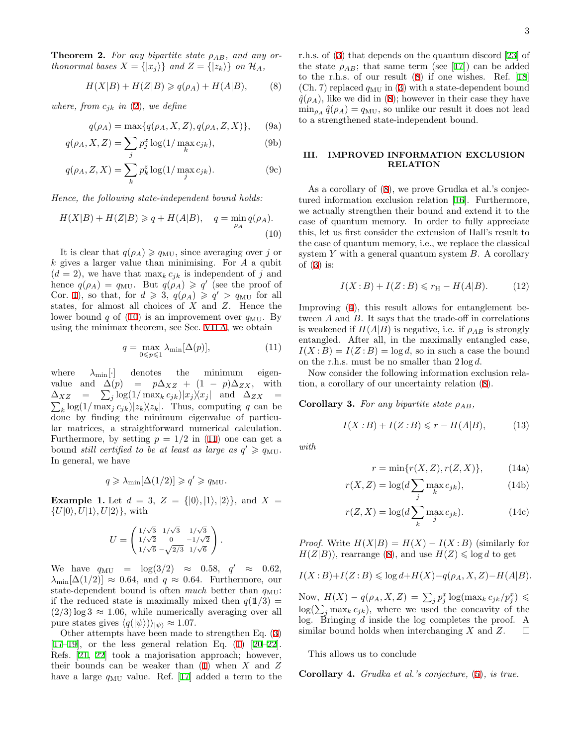<span id="page-2-8"></span>**Theorem 2.** For any bipartite state  $\rho_{AB}$ , and any or*thonormal bases*  $X = \{|x_j\rangle\}$  *and*  $Z = \{|z_k\rangle\}$  *on*  $\mathcal{H}_A$ *,* 

<span id="page-2-9"></span><span id="page-2-3"></span>
$$
H(X|B) + H(Z|B) \ge q(\rho_A) + H(A|B), \tag{8}
$$

*where, from*  $c_{ik}$  *in* [\(2](#page-0-2))*, we define* 

$$
q(\rho_A) = \max\{q(\rho_A, X, Z), q(\rho_A, Z, X)\},
$$
 (9a)

$$
q(\rho_A, X, Z) = \sum_j p_j^x \log(1/\max_k c_{jk}),
$$
\n(9b)

$$
q(\rho_A, Z, X) = \sum_{k} p_k^z \log(1/\max_j c_{jk}).
$$
 (9c)

*Hence, the following state-independent bound holds:*

<span id="page-2-1"></span>
$$
H(X|B) + H(Z|B) \ge q + H(A|B), \quad q = \min_{\rho_A} q(\rho_A). \tag{10}
$$

It is clear that  $q(\rho_A) \geq q_{\text{MU}}$ , since averaging over *j* or *k* gives a larger value than minimising. For *A* a qubit  $(d = 2)$ , we have that max<sub>k</sub>  $c_{jk}$  is independent of *j* and hence  $q(\rho_A) = q_{\text{MU}}$ . But  $q(\rho_A) \geqslant q'$  (see the proof of Cor. [1](#page-1-3)), so that, for  $d \ge 3$ ,  $q(\rho_A) \ge q' > q_{MU}$  for all states, for almost all choices of *X* and *Z*. Hence the lower bound  $q$  of [\(10](#page-2-1)) is an improvement over  $q_{MU}$ . By using the minimax theorem, see Sec. [VII A,](#page-6-2) we obtain

<span id="page-2-2"></span>
$$
q = \max_{0 \le p \le 1} \lambda_{\min}[\Delta(p)],\tag{11}
$$

where  $\lambda_{\min}[\cdot]$  denotes the minimum eigenvalue and  $\Delta(p) = p\Delta_{XZ} + (1-p)\Delta_{ZX}$ , with  $\Delta_{XZ}$  =  $\sum_{j} \log(1/\max_{k} c_{jk}) |x_j\rangle\langle x_j|$  and  $\Delta_{ZX}$  =  $\sum_{k} \log(1/\max_{j} c_{jk}) |z_{k}| \times |z_{k}|$ . Thus, computing *q* can be done by finding the minimum eigenvalue of particular matrices, a straightforward numerical calculation. Furthermore, by setting  $p = 1/2$  in [\(11](#page-2-2)) one can get a bound *still certified to be at least as large as*  $q' \geq q_{\text{MU}}$ . In general, we have

$$
q \geqslant \lambda_{\min}[\Delta(1/2)] \geqslant q' \geqslant q_{\text{MU}}.
$$

<span id="page-2-5"></span>**Example 1.** Let  $d = 3$ ,  $Z = \{ |0\rangle, |1\rangle, |2\rangle \}$ , and  $X =$ *{U|*0*⟩, U|*1*⟩, U|*2*⟩}*, with

$$
U = \begin{pmatrix} 1/\sqrt{3} & 1/\sqrt{3} & 1/\sqrt{3} \\ 1/\sqrt{2} & 0 & -1/\sqrt{2} \\ 1/\sqrt{6} & -\sqrt{2/3} & 1/\sqrt{6} \end{pmatrix}.
$$

 $\text{We have } q_{\text{MU}} = \log(3/2) \approx 0.58, q' \approx 0.62,$  $\lambda_{\min}[\Delta(1/2)] \approx 0.64$ , and  $q \approx 0.64$ . Furthermore, our state-dependent bound is often *much* better than  $q_{MU}$ : if the reduced state is maximally mixed then  $q(1/3)$  =  $(2/3) \log 3 \approx 1.06$ , while numerically averaging over all pure states gives  $\langle q(|\psi\rangle)\rangle_{|\psi\rangle} \approx 1.07$ .

Other attempts have been made to strengthen Eq. [\(3](#page-0-1))  $[17-19]$  $[17-19]$ , or the less general relation Eq.  $(1)$  $(1)$   $[20-22]$  $[20-22]$ . Refs. [\[21](#page-10-15), [22](#page-10-14)] took a majorisation approach; however, their bounds can be weaker than ([1\)](#page-0-0) when *X* and *Z* have a large  $q_{\text{MU}}$  value. Ref. [\[17](#page-10-11)] added a term to the r.h.s. of ([3](#page-0-1)) that depends on the quantum discord [\[23](#page-10-16)] of the state  $\rho_{AB}$ ; that same term (see [[17\]](#page-10-11)) can be added to the r.h.s. of our result ([8\)](#page-2-3) if one wishes. Ref. [\[18](#page-10-17)] (Ch. 7) replaced  $q_{\text{MU}}$  in ([3\)](#page-0-1) with a state-dependent bound  $q(\rho_A)$ , like we did in ([8\)](#page-2-3); however in their case they have  $\min_{\rho_A} \hat{q}(\rho_A) = q_{\text{MU}}$ , so unlike our result it does not lead to a strengthened state-independent bound.

## <span id="page-2-0"></span>**III. IMPROVED INFORMATION EXCLUSION RELATION**

As a corollary of  $(8)$  $(8)$ , we prove Grudka et al.'s conjectured information exclusion relation [[16\]](#page-10-9). Furthermore, we actually strengthen their bound and extend it to the case of quantum memory. In order to fully appreciate this, let us first consider the extension of Hall's result to the case of quantum memory, i.e., we replace the classical system *Y* with a general quantum system *B*. A corollary of  $(3)$  $(3)$  is:

<span id="page-2-6"></span>
$$
I(X:B) + I(Z:B) \leqslant r_{\mathcal{H}} - H(A|B). \tag{12}
$$

Improving [\(4](#page-1-0)), this result allows for entanglement between *A* and *B*. It says that the trade-off in correlations is weakened if  $H(A|B)$  is negative, i.e. if  $\rho_{AB}$  is strongly entangled. After all, in the maximally entangled case,  $I(X:B) = I(Z:B) = \log d$ , so in such a case the bound on the r.h.s. must be no smaller than 2 log *d*.

Now consider the following information exclusion relation, a corollary of our uncertainty relation [\(8](#page-2-3)).

<span id="page-2-7"></span>**Corollary 3.** *For any bipartite state*  $\rho_{AB}$ *,* 

<span id="page-2-4"></span>
$$
I(X:B) + I(Z:B) \leqslant r - H(A|B),\tag{13}
$$

<span id="page-2-10"></span>*with*

$$
r = \min\{r(X, Z), r(Z, X)\},\qquad(14a)
$$

$$
r(X, Z) = \log(d \sum_{j} \max_{k} c_{jk}),
$$
\n(14b)

$$
r(Z, X) = \log(d \sum_{k} \max_{j} c_{jk}).
$$
 (14c)

*Proof.* Write  $H(X|B) = H(X) - I(X:B)$  (similarly for  $H(Z|B)$ , rearrange [\(8](#page-2-3)), and use  $H(Z) \leq \log d$  to get

$$
I(X:B)+I(Z:B)\leqslant \log d+H(X)-q(\rho_A,X,Z)-H(A|B).
$$

Now,  $H(X) - q(\rho_A, X, Z) = \sum_j p_j^x \log(\max_k c_{jk}/p_j^x) \leq$  $log(\sum_j \max_k c_{jk})$ , where we used the concavity of the log. Bringing *d* inside the log completes the proof. A similar bound holds when interchanging *X* and *Z*.  $\Box$ 

This allows us to conclude

**Corollary 4.** *Grudka et al.'s conjecture,* [\(5](#page-1-1))*, is true.*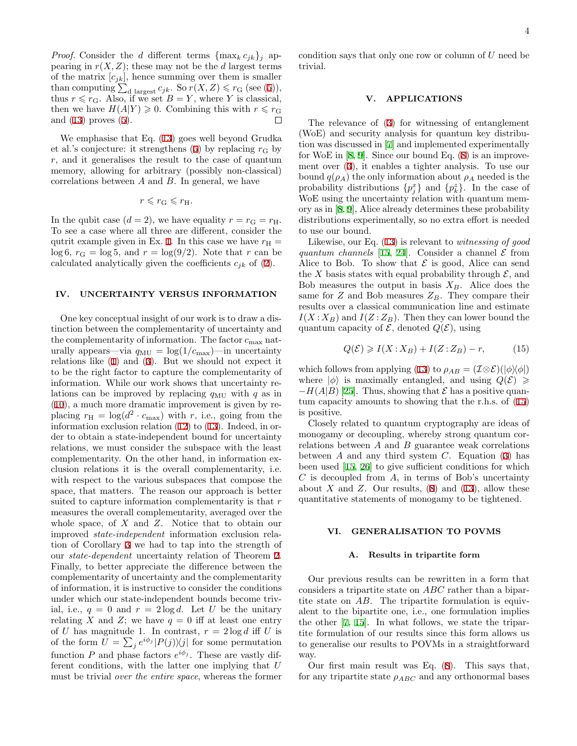*Proof.* Consider the *d* different terms  ${\max_k c_{jk}}_j$  appearing in  $r(X, Z)$ ; these may not be the *d* largest terms of the matrix  $[c_{jk}]$ , hence summing over them is smaller than computing  $\sum_{d \text{ largest}} c_{jk}$ . So  $r(X, Z) \leq r_G$  (see ([5\)](#page-1-1)), thus  $r \leq r_G$ . Also, if we set  $B = Y$ , where *Y* is classical, then we have  $H(A|Y) \geq 0$ . Combining this with  $r \leq r_G$ and [\(13](#page-2-4)) proves [\(5](#page-1-1)).  $\Box$ 

We emphasise that Eq. [\(13](#page-2-4)) goes well beyond Grudka et al.'s conjecture: it strengthens  $(5)$  $(5)$  by replacing  $r<sub>G</sub>$  by *r*, and it generalises the result to the case of quantum memory, allowing for arbitrary (possibly non-classical) correlations between *A* and *B*. In general, we have

$$
r \leqslant r_{\rm G} \leqslant r_{\rm H}.
$$

In the qubit case  $(d = 2)$ , we have equality  $r = r_{\text{G}} = r_{\text{H}}$ . To see a case where all three are different, consider the qutrit example given in Ex. [1](#page-2-5). In this case we have  $r_{\rm H}$  =  $\log 6$ ,  $r_G = \log 5$ , and  $r = \log(9/2)$ . Note that *r* can be calculated analytically given the coefficients  $c_{jk}$  of ([2\)](#page-0-2).

# <span id="page-3-0"></span>**IV. UNCERTAINTY VERSUS INFORMATION**

One key conceptual insight of our work is to draw a distinction between the complementarity of uncertainty and the complementarity of information. The factor *c*max naturally appears—via  $q_{\text{MU}} = \log(1/c_{\text{max}})$ —in uncertainty relations like [\(1](#page-0-0)) and [\(3](#page-0-1)). But we should not expect it to be the right factor to capture the complementarity of information. While our work shows that uncertainty relations can be improved by replacing  $q_{\text{MU}}$  with  $q$  as in ([10\)](#page-2-1), a much more dramatic improvement is given by replacing  $r_{\rm H} = \log(d^2 \cdot c_{\rm max})$  with *r*, i.e., going from the information exclusion relation ([12](#page-2-6)) to ([13\)](#page-2-4). Indeed, in order to obtain a state-independent bound for uncertainty relations, we must consider the subspace with the least complementarity. On the other hand, in information exclusion relations it is the overall complementarity, i.e. with respect to the various subspaces that compose the space, that matters. The reason our approach is better suited to capture information complementarity is that *r* measures the overall complementarity, averaged over the whole space, of *X* and *Z*. Notice that to obtain our improved *state-independent* information exclusion relation of Corollary [3](#page-2-7) we had to tap into the strength of our *state-dependent* uncertainty relation of Theorem [2](#page-2-8). Finally, to better appreciate the difference between the complementarity of uncertainty and the complementarity of information, it is instructive to consider the conditions under which our state-independent bounds become trivial, i.e.,  $q = 0$  and  $r = 2 \log d$ . Let *U* be the unitary relating *X* and *Z*; we have  $q = 0$  iff at least one entry of *U* has magnitude 1. In contrast,  $r = 2 \log d$  iff *U* is of the form  $U = \sum_j e^{i\phi_j} |P(j)\rangle\langle j|$  for some permutation function *P* and phase factors  $e^{i\phi_j}$ . These are vastly different conditions, with the latter one implying that *U* must be trivial *over the entire space*, whereas the former

#### <span id="page-3-1"></span>**V. APPLICATIONS**

trivial.

The relevance of ([3\)](#page-0-1) for witnessing of entanglement (WoE) and security analysis for quantum key distribution was discussed in [[7\]](#page-9-6) and implemented experimentally for WoE in  $[8, 9]$  $[8, 9]$  $[8, 9]$  $[8, 9]$  $[8, 9]$ . Since our bound Eq.  $(8)$  $(8)$  is an improvement over [\(3](#page-0-1)), it enables a tighter analysis. To use our bound  $q(\rho_A)$  the only information about  $\rho_A$  needed is the probability distributions  $\{p_j^x\}$  and  $\{p_k^z\}$ . In the case of WoE using the uncertainty relation with quantum memory as in [\[8](#page-9-9), [9\]](#page-9-7), Alice already determines these probability distributions experimentally, so no extra effort is needed to use our bound.

Likewise, our Eq. ([13](#page-2-4)) is relevant to *witnessing of good quantum channels* [[15,](#page-10-7) [24\]](#page-10-18). Consider a channel  $\mathcal E$  from Alice to Bob. To show that  $\mathcal E$  is good, Alice can send the *X* basis states with equal probability through  $\mathcal{E}$ , and Bob measures the output in basis  $X_B$ . Alice does the same for  $Z$  and Bob measures  $Z_B$ . They compare their results over a classical communication line and estimate  $I(X: X_B)$  and  $I(Z: Z_B)$ . Then they can lower bound the quantum capacity of  $\mathcal{E}$ , denoted  $Q(\mathcal{E})$ , using

<span id="page-3-3"></span>
$$
Q(\mathcal{E}) \geqslant I(X : X_B) + I(Z : Z_B) - r,\tag{15}
$$

which follows from applying ([13](#page-2-4)) to  $\rho_{AB} = (\mathcal{I} \otimes \mathcal{E})(|\phi\rangle\langle\phi|)$ where  $|\phi\rangle$  is maximally entangled, and using  $Q(\mathcal{E}) \ge$  $- H(A|B)$  [[25\]](#page-10-19). Thus, showing that *E* has a positive quantum capacity amounts to showing that the r.h.s. of [\(15](#page-3-3)) is positive.

Closely related to quantum cryptography are ideas of monogamy or decoupling, whereby strong quantum correlations between *A* and *B* guarantee weak correlations between *A* and any third system *C*. Equation [\(3](#page-0-1)) has been used [\[15](#page-10-7), [26\]](#page-10-20) to give sufficient conditions for which *C* is decoupled from *A*, in terms of Bob's uncertainty about  $X$  and  $Z$ . Our results,  $(8)$  $(8)$  and  $(13)$  $(13)$ , allow these quantitative statements of monogamy to be tightened.

### <span id="page-3-2"></span>**VI. GENERALISATION TO POVMS**

#### **A. Results in tripartite form**

Our previous results can be rewritten in a form that considers a tripartite state on *ABC* rather than a bipartite state on *AB*. The tripartite formulation is equivalent to the bipartite one, i.e., one formulation implies the other [[7,](#page-9-6) [15\]](#page-10-7). In what follows, we state the tripartite formulation of our results since this form allows us to generalise our results to POVMs in a straightforward way.

Our first main result was Eq. [\(8](#page-2-3)). This says that, for any tripartite state  $\rho_{ABC}$  and any orthonormal bases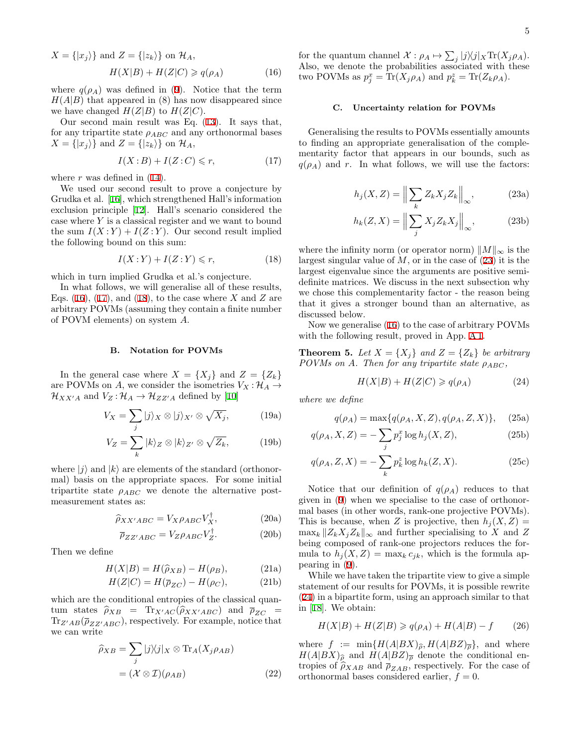<span id="page-4-0"></span>
$$
X = \{|x_j\rangle\} \text{ and } Z = \{|z_k\rangle\} \text{ on } \mathcal{H}_A,
$$
  

$$
H(X|B) + H(Z|C) \geqslant q(\rho_A)
$$
(16)

where  $q(\rho_A)$  was defined in [\(9](#page-2-9)). Notice that the term  $H(A|B)$  that appeared in (8) has now disappeared since we have changed  $H(Z|B)$  to  $H(Z|C)$ .

Our second main result was Eq. [\(13](#page-2-4)). It says that, for any tripartite state  $\rho_{ABC}$  and any orthonormal bases  $X = \{|x_i\rangle\}$  and  $Z = \{|z_k\rangle\}$  on  $\mathcal{H}_A$ ,

<span id="page-4-1"></span>
$$
I(X:B) + I(Z:C) \leqslant r,\tag{17}
$$

where  $r$  was defined in  $(14)$  $(14)$ .

We used our second result to prove a conjecture by Grudka et al. [\[16](#page-10-9)], which strengthened Hall's information exclusion principle [[12](#page-10-4)]. Hall's scenario considered the case where *Y* is a classical register and we want to bound the sum  $I(X:Y) + I(Z:Y)$ . Our second result implied the following bound on this sum:

<span id="page-4-2"></span>
$$
I(X:Y) + I(Z:Y) \leq r,\tag{18}
$$

which in turn implied Grudka et al.'s conjecture.

In what follows, we will generalise all of these results, Eqs.  $(16)$  $(16)$ ,  $(17)$  $(17)$ , and  $(18)$  $(18)$ , to the case where *X* and *Z* are arbitrary POVMs (assuming they contain a finite number of POVM elements) on system *A*.

### **B. Notation for POVMs**

In the general case where  $X = \{X_j\}$  and  $Z = \{Z_k\}$ are POVMs on *A*, we consider the isometries  $V_X: \mathcal{H}_A \rightarrow$  $\mathcal{H}_{XX'A}$  and  $V_Z: \mathcal{H}_A \to \mathcal{H}_{ZZ'A}$  defined by [[10\]](#page-10-2)

$$
V_X = \sum_j |j\rangle_X \otimes |j\rangle_{X'} \otimes \sqrt{X_j},\tag{19a}
$$

$$
V_Z = \sum_k |k\rangle_Z \otimes |k\rangle_{Z'} \otimes \sqrt{Z_k},\tag{19b}
$$

where  $|i\rangle$  and  $|k\rangle$  are elements of the standard (orthonormal) basis on the appropriate spaces. For some initial tripartite state *ρABC* we denote the alternative postmeasurement states as:

<span id="page-4-6"></span>
$$
\widehat{\rho}_{XX'ABC} = V_{X}\rho_{ABC}V_{X}^{\dagger},\tag{20a}
$$

$$
\overline{\rho}_{ZZ'ABC} = V_{Z}\rho_{ABC}V_Z^{\dagger}.
$$
 (20b)

Then we define

$$
H(X|B) = H(\hat{\rho}_{XB}) - H(\rho_B),
$$
\n(21a)  
\n
$$
H(Z|C) = H(-1) - H(\rho_B),
$$
\n(211)

$$
H(Z|C) = H(\overline{\rho}_{ZC}) - H(\rho_C), \tag{21b}
$$

which are the conditional entropies of the classical quantum states  $\hat{\rho}_{XB}$  = Tr<sub>*X'AC*</sub> ( $\hat{\rho}_{XX'ABC}$ ) and  $\overline{\rho}_{ZC}$  =  $\text{Tr}_{Z'AB}(\overline{\rho}_{ZZ'ABC})$ , respectively. For example, notice that we can write

$$
\widehat{\rho}_{XB} = \sum_{j} |j\rangle\langle j|_{X} \otimes \text{Tr}_{A}(X_{j}\rho_{AB})
$$

$$
= (\mathcal{X} \otimes \mathcal{I})(\rho_{AB})
$$
(22)

for the quantum channel  $\mathcal{X}: \rho_A \mapsto \sum_j |j\rangle\langle j| \times \text{Tr}(X_j \rho_A)$ . Also, we denote the probabilities associated with these  $\text{two POVMs}$  as  $p_j^x = \text{Tr}(X_j \rho_A)$  and  $p_k^z = \text{Tr}(Z_k \rho_A)$ .

## **C. Uncertainty relation for POVMs**

<span id="page-4-3"></span>Generalising the results to POVMs essentially amounts to finding an appropriate generalisation of the complementarity factor that appears in our bounds, such as  $q(\rho_A)$  and *r*. In what follows, we will use the factors:

$$
h_j(X, Z) = \left\| \sum_k Z_k X_j Z_k \right\|_{\infty}, \tag{23a}
$$

$$
h_k(Z, X) = \left\| \sum_j X_j Z_k X_j \right\|_{\infty}, \tag{23b}
$$

where the infinity norm (or operator norm) *∥M∥<sup>∞</sup>* is the largest singular value of *M*, or in the case of ([23\)](#page-4-3) it is the largest eigenvalue since the arguments are positive semidefinite matrices. We discuss in the next subsection why we chose this complementarity factor - the reason being that it gives a stronger bound than an alternative, as discussed below.

Now we generalise [\(16](#page-4-0)) to the case of arbitrary POVMs with the following result, proved in App. [A 1](#page-8-0).

<span id="page-4-5"></span>**Theorem 5.** Let  $X = \{X_j\}$  and  $Z = \{Z_k\}$  be arbitrary *POVMs* on *A*. Then for any tripartite state  $\rho_{ABC}$ ,

<span id="page-4-8"></span><span id="page-4-4"></span>
$$
H(X|B) + H(Z|C) \ge q(\rho_A) \tag{24}
$$

*where we define*

$$
q(\rho_A) = \max\{q(\rho_A, X, Z), q(\rho_A, Z, X)\}, \quad (25a)
$$

$$
q(\rho_A, X, Z) = -\sum_j p_j^x \log h_j(X, Z),\tag{25b}
$$

$$
q(\rho_A, Z, X) = -\sum_k p_k^z \log h_k(Z, X). \tag{25c}
$$

Notice that our definition of  $q(\rho_A)$  reduces to that given in [\(9](#page-2-9)) when we specialise to the case of orthonormal bases (in other words, rank-one projective POVMs). This is because, when *Z* is projective, then  $h<sub>i</sub>(X, Z) =$  $\max_k ||Z_k X_j Z_k||_{\infty}$  and further specialising to *X* and *Z* being composed of rank-one projectors reduces the formula to  $h_j(X, Z) = \max_k c_{jk}$ , which is the formula appearing in [\(9](#page-2-9)).

While we have taken the tripartite view to give a simple statement of our results for POVMs, it is possible rewrite ([24\)](#page-4-4) in a bipartite form, using an approach similar to that in [\[18](#page-10-17)]. We obtain:

$$
H(X|B) + H(Z|B) \ge q(\rho_A) + H(A|B) - f \qquad (26)
$$

<span id="page-4-7"></span>where  $f := \min\{H(A|BX)\hat{\rho}, H(A|BZ)\overline{\rho}\}$ , and where  $H(A|BX)_{\hat{\rho}}$  and  $H(A|BZ)_{\overline{\rho}}$  denote the conditional entropies of  $\hat{\rho}_{XAB}$  and  $\overline{\rho}_{ZAB}$ , respectively. For the case of orthonormal bases considered earlier,  $f = 0$ .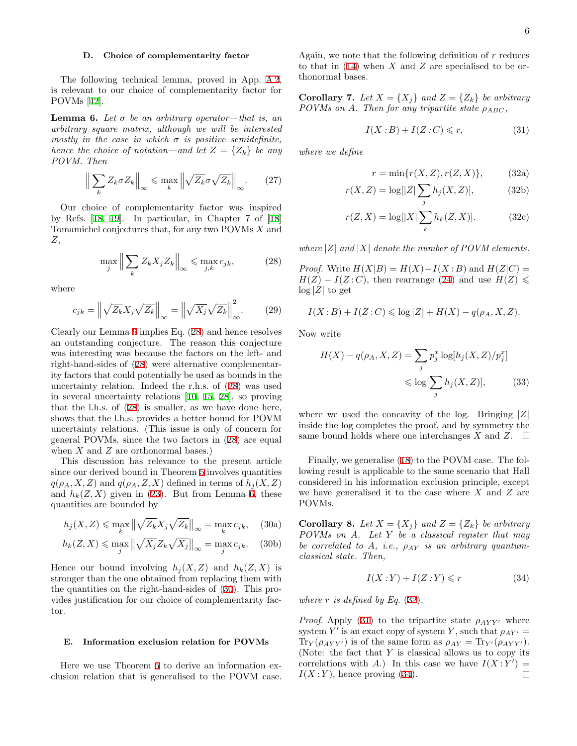### **D. Choice of complementarity factor**

The following technical lemma, proved in App. [A 2](#page-8-1), is relevant to our choice of complementarity factor for POVMs [[42\]](#page-10-21).

<span id="page-5-0"></span>**Lemma 6.** Let  $\sigma$  be an arbitrary operator—that is, an *arbitrary square matrix, although we will be interested mostly in the case in which*  $\sigma$  *is positive semidefinite, hence the choice of notation—and let*  $Z = \{Z_k\}$  *be any POVM. Then*

$$
\left\| \sum_{k} Z_{k} \sigma Z_{k} \right\|_{\infty} \leqslant \max_{k} \left\| \sqrt{Z_{k}} \sigma \sqrt{Z_{k}} \right\|_{\infty} . \tag{27}
$$

Our choice of complementarity factor was inspired by Refs. [[18,](#page-10-17) [19\]](#page-10-12). In particular, in Chapter 7 of [\[18](#page-10-17)] Tomamichel conjectures that, for any two POVMs *X* and *Z*,

<span id="page-5-1"></span>
$$
\max_{j} \left\| \sum_{k} Z_{k} X_{j} Z_{k} \right\|_{\infty} \leq \max_{j,k} c_{jk},\tag{28}
$$

where

<span id="page-5-6"></span>
$$
c_{jk} = \left\| \sqrt{Z_k} X_j \sqrt{Z_k} \right\|_{\infty} = \left\| \sqrt{X_j} \sqrt{Z_k} \right\|_{\infty}^2.
$$
 (29)

Clearly our Lemma [6](#page-5-0) implies Eq. ([28](#page-5-1)) and hence resolves an outstanding conjecture. The reason this conjecture was interesting was because the factors on the left- and right-hand-sides of ([28\)](#page-5-1) were alternative complementarity factors that could potentially be used as bounds in the uncertainty relation. Indeed the r.h.s. of [\(28](#page-5-1)) was used in several uncertainty relations [[10,](#page-10-2) [15,](#page-10-7) [28\]](#page-10-22), so proving that the l.h.s. of [\(28](#page-5-1)) is smaller, as we have done here, shows that the l.h.s. provides a better bound for POVM uncertainty relations. (This issue is only of concern for general POVMs, since the two factors in [\(28](#page-5-1)) are equal when *X* and *Z* are orthonormal bases.)

This discussion has relevance to the present article since our derived bound in Theorem [5](#page-4-5) involves quantities  $q(\rho_A, X, Z)$  and  $q(\rho_A, Z, X)$  defined in terms of  $h_i(X, Z)$ and  $h_k(Z, X)$  given in [\(23](#page-4-3)). But from Lemma [6,](#page-5-0) these quantities are bounded by

<span id="page-5-2"></span>
$$
h_j(X, Z) \leq \max_k \left\| \sqrt{Z_k} X_j \sqrt{Z_k} \right\|_{\infty} = \max_k c_{jk}, \quad (30a)
$$

$$
h_k(Z, X) \le \max_j \left\| \sqrt{X_j} Z_k \sqrt{X_j} \right\|_{\infty} = \max_j c_{jk}.
$$
 (30b)

Hence our bound involving  $h<sub>i</sub>(X, Z)$  and  $h<sub>k</sub>(Z, X)$  is stronger than the one obtained from replacing them with the quantities on the right-hand-sides of [\(30](#page-5-2)). This provides justification for our choice of complementarity factor.

### **E. Information exclusion relation for POVMs**

Here we use Theorem [5](#page-4-5) to derive an information exclusion relation that is generalised to the POVM case. Again, we note that the following definition of *r* reduces to that in ([14\)](#page-2-10) when *X* and *Z* are specialised to be orthonormal bases.

**Corollary 7.** Let  $X = \{X_i\}$  and  $Z = \{Z_k\}$  be arbitrary *POVMs* on *A*. Then for any tripartite state  $\rho_{ABC}$ ,

<span id="page-5-4"></span><span id="page-5-3"></span>
$$
I(X:B) + I(Z:C) \leqslant r,\tag{31}
$$

*where we define*

$$
r = \min\{r(X, Z), r(Z, X)\},\qquad(32a)
$$

$$
r(X, Z) = \log[|Z| \sum_{j} h_j(X, Z)], \qquad (32b)
$$

$$
r(Z, X) = \log[|X| \sum_{k} h_k(Z, X)].
$$
 (32c)

*where*  $|Z|$  *and*  $|X|$  *denote the number of POVM elements.* 

*Proof.* Write  $H(X|B) = H(X) - I(X:B)$  and  $H(Z|C) =$  $H(Z) - I(Z:C)$ , then rearrange [\(24](#page-4-4)) and use  $H(Z) \leq$  $\log|Z|$  to get

$$
I(X:B) + I(Z:C) \leqslant \log |Z| + H(X) - q(\rho_A, X, Z).
$$

Now write

$$
H(X) - q(\rho_A, X, Z) = \sum_j p_j^x \log[h_j(X, Z)/p_j^x]
$$
  

$$
\leq \log[\sum_j h_j(X, Z)], \qquad (33)
$$

where we used the concavity of the log. Bringing *|Z|* inside the log completes the proof, and by symmetry the same bound holds where one interchanges *X* and *Z*.  $\Box$ 

Finally, we generalise [\(18](#page-4-2)) to the POVM case. The following result is applicable to the same scenario that Hall considered in his information exclusion principle, except we have generalised it to the case where *X* and *Z* are POVMs.

**Corollary 8.** Let  $X = \{X_j\}$  and  $Z = \{Z_k\}$  be arbitrary *POVMs on A. Let Y be a classical register that may be correlated to A, i.e., ρAY is an arbitrary quantumclassical state. Then,*

<span id="page-5-5"></span>
$$
I(X:Y) + I(Z:Y) \leq r \tag{34}
$$

*where*  $r$  *is defined by Eq.* ([32\)](#page-5-3)*.* 

*Proof.* Apply ([31\)](#page-5-4) to the tripartite state  $\rho_{AYY'}$  where system  $Y'$  is an exact copy of system  $Y$ , such that  $\rho_{AY'} =$ Tr<sub>*Y*</sub>( $\rho_{AYY'}$ ) is of the same form as  $\rho_{AY} = \text{Tr}_{Y'}(\rho_{AYY'})$ . (Note: the fact that *Y* is classical allows us to copy its correlations with *A*.) In this case we have  $I(X:Y') =$  $I(X:Y)$ , hence proving ([34\)](#page-5-5).  $\Box$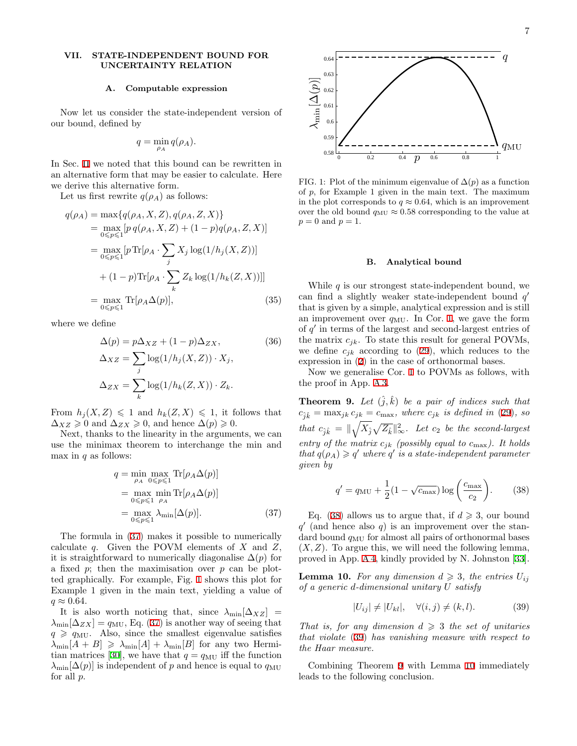## <span id="page-6-0"></span>**VII. STATE-INDEPENDENT BOUND FOR UNCERTAINTY RELATION**

## <span id="page-6-2"></span>**A. Computable expression**

Now let us consider the state-independent version of our bound, defined by

$$
q = \min_{\rho_A} q(\rho_A).
$$

In Sec. [II](#page-1-2) we noted that this bound can be rewritten in an alternative form that may be easier to calculate. Here we derive this alternative form.

Let us first rewrite  $q(\rho_A)$  as follows:

$$
q(\rho_A) = \max\{q(\rho_A, X, Z), q(\rho_A, Z, X)\}
$$
  
\n
$$
= \max_{0 \le p \le 1} [p q(\rho_A, X, Z) + (1 - p)q(\rho_A, Z, X)]
$$
  
\n
$$
= \max_{0 \le p \le 1} [p \text{Tr}[\rho_A \cdot \sum_j X_j \log(1/h_j(X, Z))]
$$
  
\n
$$
+ (1 - p) \text{Tr}[\rho_A \cdot \sum_k Z_k \log(1/h_k(Z, X))]]
$$
  
\n
$$
= \max_{0 \le p \le 1} \text{Tr}[\rho_A \Delta(p)], \qquad (35)
$$

where we define

$$
\Delta(p) = p\Delta_{XZ} + (1 - p)\Delta_{ZX},
$$
\n
$$
\Delta_{XZ} = \sum_{j} \log(1/h_j(X, Z)) \cdot X_j,
$$
\n
$$
\Delta_{ZX} = \sum_{k} \log(1/h_k(Z, X)) \cdot Z_k.
$$
\n(36)

From  $h_j(X, Z) \leq 1$  and  $h_k(Z, X) \leq 1$ , it follows that  $\Delta_{XZ} \geq 0$  and  $\Delta_{ZX} \geq 0$ , and hence  $\Delta(p) \geq 0$ .

Next, thanks to the linearity in the arguments, we can use the minimax theorem to interchange the min and max in *q* as follows:

$$
q = \min_{\rho_A} \max_{0 \le p \le 1} \text{Tr}[\rho_A \Delta(p)]
$$
  
= 
$$
\max_{0 \le p \le 1} \min_{\rho_A} \text{Tr}[\rho_A \Delta(p)]
$$
  
= 
$$
\max_{0 \le p \le 1} \lambda_{\min}[\Delta(p)].
$$
 (37)

The formula in ([37\)](#page-6-3) makes it possible to numerically calculate *q*. Given the POVM elements of *X* and *Z*, it is straightforward to numerically diagonalise  $\Delta(p)$  for a fixed *p*; then the maximisation over *p* can be plotted graphically. For example, Fig. [1](#page-6-4) shows this plot for Example 1 given in the main text, yielding a value of  $q \approx 0.64$ .

It is also worth noticing that, since  $\lambda_{\min}[\Delta_{XZ}]$  =  $\lambda_{\min}[\Delta_{ZX}] = q_{\text{MU}}$ , Eq. [\(37](#page-6-3)) is another way of seeing that  $q \geq q_{\text{MU}}$ . Also, since the smallest eigenvalue satisfies  $\lambda_{\min}[A + B] \geq \lambda_{\min}[A] + \lambda_{\min}[B]$  for any two Hermi-tian matrices [\[30](#page-10-23)], we have that  $q = q_{\text{MU}}$  iff the function  $\lambda_{\min}[\Delta(p)]$  is independent of *p* and hence is equal to  $q_{\text{MU}}$ for all *p*.



<span id="page-6-4"></span>FIG. 1: Plot of the minimum eigenvalue of  $\Delta(p)$  as a function of *p*, for Example 1 given in the main text. The maximum in the plot corresponds to  $q \approx 0.64$ , which is an improvement over the old bound  $q_{\text{MU}} \approx 0.58$  corresponding to the value at *p* = 0 and *p* = 1.

# <span id="page-6-1"></span>**B. Analytical bound**

While *q* is our strongest state-independent bound, we can find a slightly weaker state-independent bound *q ′* that is given by a simple, analytical expression and is still an improvement over  $q_{MU}$ . In Cor. [1,](#page-1-3) we gave the form of *q ′* in terms of the largest and second-largest entries of the matrix  $c_{ik}$ . To state this result for general POVMs, we define  $c_{jk}$  according to [\(29](#page-5-6)), which reduces to the expression in ([2\)](#page-0-2) in the case of orthonormal bases.

Now we generalise Cor. [1](#page-1-3) to POVMs as follows, with the proof in App. [A 3.](#page-9-8)

<span id="page-6-7"></span>**Theorem 9.** Let  $(\hat{j}, \hat{k})$  be a pair of indices such that  $c_{\hat{i}\hat{k}} = \max_{jk} c_{jk} = c_{\max}$ *, where*  $c_{jk}$  *is defined in* [\(29](#page-5-6))*, so*  $\hat{c}_{j\hat{k}} = \|\sqrt{X_j}\sqrt{Z_{\hat{k}}} \|_\infty^2$ . Let  $c_2$  be the second-largest *entry of the matrix*  $c_{jk}$  (possibly equal to  $c_{\text{max}}$ ). It holds *that*  $q(\rho_A) \geqslant q'$  *where*  $q'$  *is a state-independent parameter given by*

<span id="page-6-5"></span>
$$
q' = q_{\rm MU} + \frac{1}{2}(1 - \sqrt{c_{\rm max}}) \log\left(\frac{c_{\rm max}}{c_2}\right). \tag{38}
$$

<span id="page-6-3"></span>Eq. ([38\)](#page-6-5) allows us to argue that, if  $d \ge 3$ , our bound *q ′* (and hence also *q*) is an improvement over the standard bound *q*MU for almost all pairs of orthonormal bases  $(X, Z)$ . To argue this, we will need the following lemma, proved in App. [A 4,](#page-9-10) kindly provided by N. Johnston [[33\]](#page-10-24).

<span id="page-6-8"></span>**Lemma 10.** For any dimension  $d \geq 3$ , the entries  $U_{ij}$ *of a generic d-dimensional unitary U satisfy*

<span id="page-6-6"></span>
$$
|U_{ij}| \neq |U_{kl}|, \quad \forall (i,j) \neq (k,l). \tag{39}
$$

*That is, for any dimension*  $d \geq 3$  *the set of unitaries that violate* ([39\)](#page-6-6) *has vanishing measure with respect to the Haar measure.*

Combining Theorem [9](#page-6-7) with Lemma [10](#page-6-8) immediately leads to the following conclusion.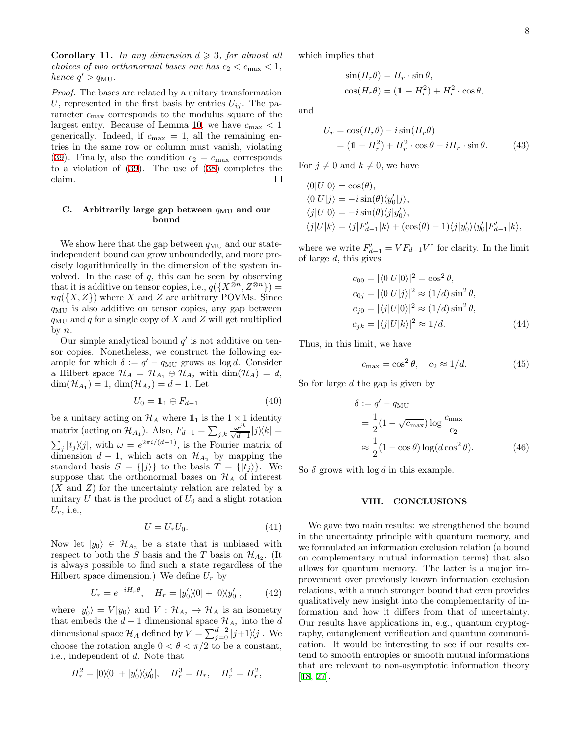**Corollary 11.** *In any dimension*  $d \geq 3$ *, for almost all choices of two orthonormal bases one has*  $c_2 < c_{\text{max}} < 1$ , *hence*  $q' > q_{\text{MU}}$ .

*Proof.* The bases are related by a unitary transformation U, represented in the first basis by entries  $U_{ij}$ . The parameter *c*max corresponds to the modulus square of the largest entry. Because of Lemma [10](#page-6-8), we have  $c_{\text{max}} < 1$ generically. Indeed, if  $c_{\text{max}} = 1$ , all the remaining entries in the same row or column must vanish, violating ([39\)](#page-6-6). Finally, also the condition  $c_2 = c_{\text{max}}$  corresponds to a violation of ([39\)](#page-6-6). The use of [\(38](#page-6-5)) completes the claim.  $\Box$ 

### <span id="page-7-0"></span>**C.** Arbitrarily large gap between  $q_{MU}$  and our **bound**

We show here that the gap between  $q_{\text{MU}}$  and our stateindependent bound can grow unboundedly, and more precisely logarithmically in the dimension of the system involved. In the case of *q*, this can be seen by observing that it is additive on tensor copies, i.e.,  $q({X^{\otimes n}, Z^{\otimes n}})$  $nq({X,Z})$  where *X* and *Z* are arbitrary POVMs. Since *q*MU is also additive on tensor copies, any gap between  $q_{\text{MU}}$  and  $q$  for a single copy of  $X$  and  $Z$  will get multiplied by *n*.

Our simple analytical bound  $q'$  is not additive on tensor copies. Nonetheless, we construct the following example for which  $\delta := q' - q_{\text{MU}}$  grows as log *d*. Consider a Hilbert space  $\mathcal{H}_A = \mathcal{H}_{A_1} \oplus \mathcal{H}_{A_2}$  with  $\dim(\mathcal{H}_A) = d$ ,  $dim(\mathcal{H}_{A_1}) = 1, dim(\mathcal{H}_{A_2}) = d - 1.$  Let

$$
U_0 = \mathbb{1}_1 \oplus F_{d-1} \tag{40}
$$

be a unitary acting on  $\mathcal{H}_A$  where  $\mathbb{1}_1$  is the  $1 \times 1$  identity  $\max_{i}$  (acting on  $\mathcal{H}_{A_1}$ ). Also,  $F_{d-1} = \sum_{j,k} \frac{\omega^{jk}}{\sqrt{d-1}} |j\rangle\langle k| =$  $\sum_{j} |t_j\rangle\langle j|$ , with  $\omega = e^{2\pi i/(d-1)}$ , is the Fourier matrix of dimension  $d-1$ , which acts on  $\mathcal{H}_{A_2}$  by mapping the standard basis  $S = \{ |j\rangle \}$  to the basis  $T = \{ |t_j\rangle \}$ . We suppose that the orthonormal bases on  $\mathcal{H}_A$  of interest (*X* and *Z*) for the uncertainty relation are related by a unitary  $U$  that is the product of  $U_0$  and a slight rotation *Ur*, i.e.,

$$
U = U_r U_0. \tag{41}
$$

Now let  $|y_0\rangle \in \mathcal{H}_{A_2}$  be a state that is unbiased with respect to both the *S* basis and the *T* basis on  $\mathcal{H}_{A_2}$ . (It is always possible to find such a state regardless of the Hilbert space dimension.) We define  $U_r$  by

$$
U_r = e^{-iH_r\theta}, \quad H_r = |y'_0\rangle\langle 0| + |0\rangle\langle y'_0|,\tag{42}
$$

where  $|y'_0\rangle = V|y_0\rangle$  and  $V: \mathcal{H}_{A_2} \to \mathcal{H}_A$  is an isometry that embeds the  $d-1$  dimensional space  $\mathcal{H}_{A_2}$  into the  $d$ dimensional space  $\mathcal{H}_A$  defined by  $V = \sum_{j=0}^{d-2} |j+1\rangle\langle j|$ . We choose the rotation angle  $0 < \theta < \pi/2$  to be a constant, i.e., independent of *d*. Note that

$$
H_r^2 = |0\rangle\langle 0| + |y'_0\rangle\langle y'_0|, \quad H_r^3 = H_r, \quad H_r^4 = H_r^2,
$$

which implies that

$$
\sin(H_r \theta) = H_r \cdot \sin \theta,
$$
  

$$
\cos(H_r \theta) = (\mathbb{1} - H_r^2) + H_r^2 \cdot \cos \theta,
$$

and

$$
U_r = \cos(H_r \theta) - i \sin(H_r \theta)
$$
  
=  $(1 - H_r^2) + H_r^2 \cdot \cos \theta - i H_r \cdot \sin \theta$ . (43)

For  $j \neq 0$  and  $k \neq 0$ , we have

$$
\langle 0|U|0\rangle = \cos(\theta),
$$
  
\n
$$
\langle 0|U|j\rangle = -i\sin(\theta)\langle y'_0|j\rangle,
$$
  
\n
$$
\langle j|U|0\rangle = -i\sin(\theta)\langle j|y'_0\rangle,
$$
  
\n
$$
\langle j|U|k\rangle = \langle j|F'_{d-1}|k\rangle + (\cos(\theta) - 1)\langle j|y'_0\rangle\langle y'_0|F'_{d-1}|k\rangle,
$$

where we write  $F'_{d-1} = V F_{d-1} V^{\dagger}$  for clarity. In the limit of large *d*, this gives

$$
c_{00} = |\langle 0|U|0\rangle|^2 = \cos^2 \theta,
$$
  
\n
$$
c_{0j} = |\langle 0|U|j\rangle|^2 \approx (1/d)\sin^2 \theta,
$$
  
\n
$$
c_{j0} = |\langle j|U|0\rangle|^2 \approx (1/d)\sin^2 \theta,
$$
  
\n
$$
c_{jk} = |\langle j|U|k\rangle|^2 \approx 1/d.
$$
 (44)

Thus, in this limit, we have

$$
c_{\text{max}} = \cos^2 \theta, \quad c_2 \approx 1/d. \tag{45}
$$

So for large *d* the gap is given by

$$
\delta := q' - q_{\rm MU}
$$
  
=  $\frac{1}{2} (1 - \sqrt{c_{\rm max}}) \log \frac{c_{\rm max}}{c_2}$   

$$
\approx \frac{1}{2} (1 - \cos \theta) \log (d \cos^2 \theta).
$$
 (46)

So  $\delta$  grows with  $\log d$  in this example.

### **VIII. CONCLUSIONS**

We gave two main results: we strengthened the bound in the uncertainty principle with quantum memory, and we formulated an information exclusion relation (a bound on complementary mutual information terms) that also allows for quantum memory. The latter is a major improvement over previously known information exclusion relations, with a much stronger bound that even provides qualitatively new insight into the complementarity of information and how it differs from that of uncertainty. Our results have applications in, e.g., quantum cryptography, entanglement verification and quantum communication. It would be interesting to see if our results extend to smooth entropies or smooth mutual informations that are relevant to non-asymptotic information theory [[18,](#page-10-17) [27\]](#page-10-25).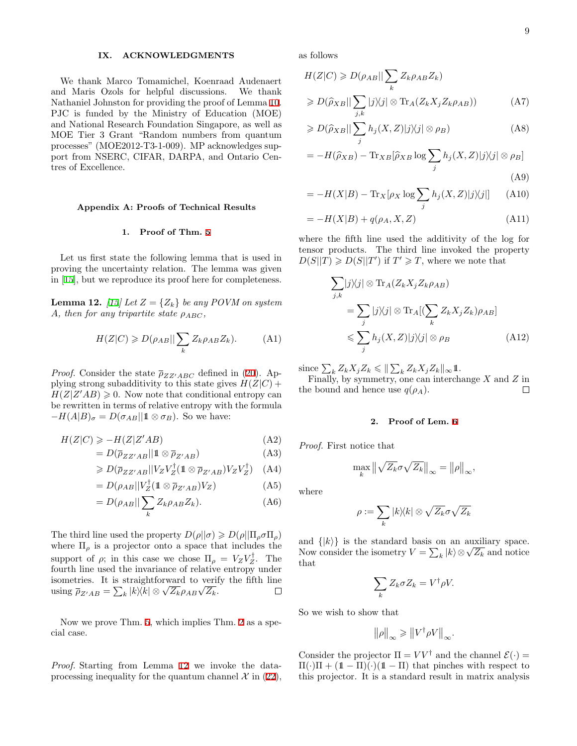## **IX. ACKNOWLEDGMENTS**

We thank Marco Tomamichel, Koenraad Audenaert and Maris Ozols for helpful discussions. We thank Nathaniel Johnston for providing the proof of Lemma [10](#page-6-8). PJC is funded by the Ministry of Education (MOE) and National Research Foundation Singapore, as well as MOE Tier 3 Grant "Random numbers from quantum processes" (MOE2012-T3-1-009). MP acknowledges support from NSERC, CIFAR, DARPA, and Ontario Centres of Excellence.

### **Appendix A: Proofs of Technical Results**

### <span id="page-8-0"></span>**1. Proof of Thm. [5](#page-4-5)**

Let us first state the following lemma that is used in proving the uncertainty relation. The lemma was given in [[15\]](#page-10-7), but we reproduce its proof here for completeness.

<span id="page-8-2"></span>**Lemma 12.** *[[15\]](#page-10-7)* Let  $Z = \{Z_k\}$  be any POVM on system *A*, then for any tripartite state  $\rho_{ABC}$ ,

$$
H(Z|C) \ge D(\rho_{AB}||\sum_{k} Z_k \rho_{AB} Z_k). \tag{A1}
$$

*Proof.* Consider the state  $\bar{\rho}_{ZZ'ABC}$  defined in ([20\)](#page-4-6). Applying strong subadditivity to this state gives  $H(Z|C)$  +  $H(Z|Z'AB) \geq 0$ . Now note that conditional entropy can be rewritten in terms of relative entropy with the formula  $- H(A|B)_{\sigma} = D(\sigma_{AB}||1 \otimes \sigma_B)$ . So we have:

$$
H(Z|C) \ge -H(Z|Z'AB) \tag{A2}
$$

$$
= D(\overline{\rho}_{ZZ'AB}||1 \otimes \overline{\rho}_{Z'AB}) \tag{A3}
$$

$$
\geqslant D(\overline{\rho}_{ZZ'AB}||V_ZV_Z^{\dagger}(\mathbb{1} \otimes \overline{\rho}_{Z'AB})V_ZV_Z^{\dagger}) \quad \text{(A4)}
$$

$$
=D(\rho_{AB}||V_Z^{\dagger}(\mathbb{1}\otimes\overline{\rho}_{Z'AB})V_Z)\tag{A5}
$$

$$
= D(\rho_{AB}||\sum_{k} Z_k \rho_{AB} Z_k). \tag{A6}
$$

The third line used the property  $D(\rho||\sigma) \geq D(\rho||\Pi_{\rho}\sigma\Pi_{\rho})$ where  $\Pi_{\rho}$  is a projector onto a space that includes the support of  $\rho$ ; in this case we chose  $\Pi_{\rho} = V_Z V_Z^{\dagger}$ . The fourth line used the invariance of relative entropy under isometries. It is straightforward to verify the fifth line  $\lim_{x \to \infty} \frac{\partial^2 f}{\partial x^2} = \sum_k |k\rangle\langle k| \otimes \sqrt{Z_k} \rho_{AB} \sqrt{Z_k}.$ □

Now we prove Thm. [5](#page-4-5), which implies Thm. [2](#page-2-8) as a special case.

*Proof.* Starting from Lemma [12](#page-8-2) we invoke the dataprocessing inequality for the quantum channel  $\mathcal{X}$  in [\(22](#page-4-7)), as follows

$$
H(Z|C) \ge D(\rho_{AB}||\sum_{k} Z_k \rho_{AB} Z_k)
$$
  
\n
$$
\ge D(\widehat{\rho}_{XB}||\sum_{j,k} |j\rangle\langle j| \otimes \text{Tr}_A(Z_k X_j Z_k \rho_{AB}))
$$
 (A7)

$$
\geqslant D(\widehat{\rho}_{XB}||\sum_{j} h_j(X,Z)|j\rangle\langle j| \otimes \rho_B)
$$
 (A8)

$$
= -H(\widehat{\rho}_{XB}) - \text{Tr}_{XB}[\widehat{\rho}_{XB} \log \sum_{j} h_j(X, Z)|j\rangle\langle j| \otimes \rho_B]
$$
\n(A9)

$$
= -H(X|B) - \text{Tr}_X[\rho_X \log \sum_j h_j(X, Z)|j\rangle\langle j|] \tag{A10}
$$

$$
= -H(X|B) + q(\rho_A, X, Z)
$$
 (A11)

where the fifth line used the additivity of the log for tensor products. The third line invoked the property  $D(S||T) \ge D(S||T')$  if  $T' \ge T$ , where we note that

$$
\sum_{j,k} |j\rangle\langle j| \otimes \text{Tr}_A(Z_k X_j Z_k \rho_{AB})
$$
  
= 
$$
\sum_j |j\rangle\langle j| \otimes \text{Tr}_A[(\sum_k Z_k X_j Z_k) \rho_{AB}]
$$
  

$$
\leq \sum_j h_j(X,Z) |j\rangle\langle j| \otimes \rho_B
$$
 (A12)

 $\text{since } \sum_k Z_k X_j Z_k \leqslant \|\sum_k Z_k X_j Z_k\|_{\infty} \mathbb{1}.$ 

Finally, by symmetry, one can interchange *X* and *Z* in the bound and hence use  $q(\rho_A)$ .  $\Box$ 

### <span id="page-8-1"></span>**2. Proof of Lem. [6](#page-5-0)**

*Proof.* First notice that

$$
\max_{k} \left\| \sqrt{Z_k} \sigma \sqrt{Z_k} \right\|_{\infty} = \left\| \rho \right\|_{\infty},
$$

where

$$
\rho:=\sum_k |k\rangle\!\langle k|\otimes \sqrt{Z_k}\sigma \sqrt{Z_k}
$$

and  $\{|k\rangle\}$  is the standard basis on an auxiliary space. Now consider the isometry  $V = \sum_k |k\rangle \otimes \sqrt{Z_k}$  and notice that

$$
\sum_{k} Z_{k} \sigma Z_{k} = V^{\dagger} \rho V.
$$

So we wish to show that

$$
\|\rho\|_{\infty} \geq \|V^{\dagger}\rho V\|_{\infty}.
$$

Consider the projector  $\Pi = V V^{\dagger}$  and the channel  $\mathcal{E}(\cdot) =$  $\Pi(\cdot)\Pi + (1-\Pi)(\cdot)(1-\Pi)$  that pinches with respect to this projector. It is a standard result in matrix analysis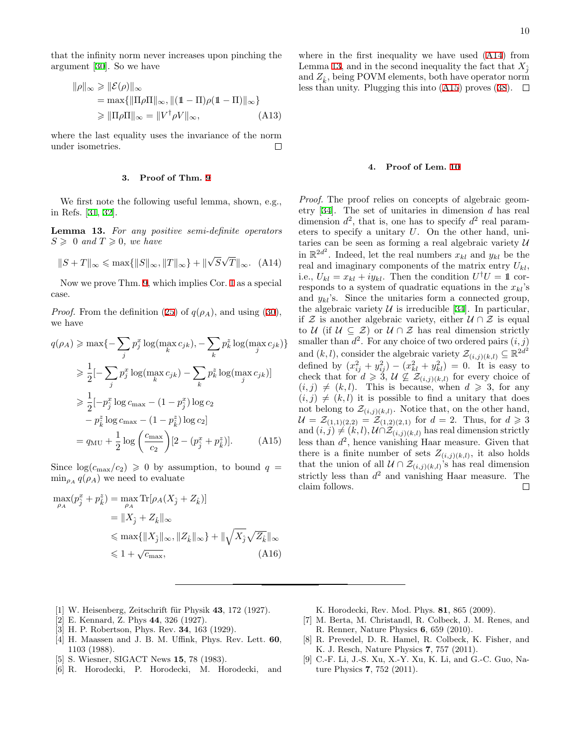that the infinity norm never increases upon pinching the argument [\[30](#page-10-23)]. So we have

$$
\|\rho\|_{\infty} \geq \|\mathcal{E}(\rho)\|_{\infty}
$$
  
= max{||\Pi\rho\Pi||\_{\infty}, ||(1 - \Pi)\rho(1 - \Pi)||\_{\infty}}  
\geq ||\Pi\rho\Pi||\_{\infty} = ||V^{\dagger}\rho V||\_{\infty}, \qquad (A13)

where the last equality uses the invariance of the norm under isometries.  $\Box$ 

### <span id="page-9-8"></span>**3. Proof of Thm. [9](#page-6-7)**

We first note the following useful lemma, shown, e.g., in Refs. [\[31](#page-10-26), [32](#page-10-27)].

<span id="page-9-12"></span>**Lemma 13.** *For any positive semi-definite operators*  $S \geq 0$  and  $T \geq 0$ , we have

<span id="page-9-11"></span>
$$
||S + T||_{\infty} \le \max\{||S||_{\infty}, ||T||_{\infty}\} + ||\sqrt{S}\sqrt{T}||_{\infty}.
$$
 (A14)

Now we prove Thm. [9,](#page-6-7) which implies Cor. [1](#page-1-3) as a special case.

*Proof.* From the definition [\(25](#page-4-8)) of  $q(\rho_A)$ , and using [\(30](#page-5-2)), we have

$$
q(\rho_A) \ge \max\{-\sum_j p_j^x \log(\max_k c_{jk}), -\sum_k p_k^z \log(\max_j c_{jk})\}
$$
  
\n
$$
\ge \frac{1}{2}[-\sum_j p_j^x \log(\max_k c_{jk}) - \sum_k p_k^z \log(\max_j c_{jk})]
$$
  
\n
$$
\ge \frac{1}{2}[-p_j^x \log c_{\max} - (1 - p_j^x) \log c_2
$$
  
\n
$$
-p_k^z \log c_{\max} - (1 - p_k^z) \log c_2]
$$
  
\n
$$
= q_{\text{MU}} + \frac{1}{2} \log \left(\frac{c_{\max}}{c_2}\right) [2 - (p_j^x + p_k^z)]. \tag{A15}
$$

Since  $\log(c_{\text{max}}/c_2) \geq 0$  by assumption, to bound  $q =$  $\min_{\rho_A} q(\rho_A)$  we need to evaluate

$$
\max_{\rho_A} (p_j^x + p_k^z) = \max_{\rho_A} \text{Tr}[\rho_A (X_j + Z_k)]
$$
  
\n
$$
= \|X_j + Z_k\|_{\infty}
$$
  
\n
$$
\leq \max\{\|X_j\|_{\infty}, \|Z_k\|_{\infty}\} + \|\sqrt{X_j}\sqrt{Z_k}\|_{\infty}
$$
  
\n
$$
\leq 1 + \sqrt{c_{\text{max}}},
$$
 (A16)

where in the first inequality we have used ([A14](#page-9-11)) from Lemma [13](#page-9-12), and in the second inequality the fact that  $X_{\hat{i}}$ and  $Z_{\hat{k}}$ , being POVM elements, both have operator norm less than unity. Plugging this into ([A15](#page-9-13)) proves ([38\)](#page-6-5).  $\Box$ 

## <span id="page-9-10"></span>**4. Proof of Lem. [10](#page-6-8)**

*Proof.* The proof relies on concepts of algebraic geometry [[34\]](#page-10-28). The set of unitaries in dimension *d* has real dimension  $d^2$ , that is, one has to specify  $d^2$  real parameters to specify a unitary *U*. On the other hand, unitaries can be seen as forming a real algebraic variety *U* in  $\mathbb{R}^{2d^2}$ . Indeed, let the real numbers  $x_{kl}$  and  $y_{kl}$  be the real and imaginary components of the matrix entry *Ukl*, i.e.,  $U_{kl} = x_{kl} + iy_{kl}$ . Then the condition  $U^{\dagger}U = \mathbb{1}$  corresponds to a system of quadratic equations in the *xkl*'s and  $y_{kl}$ 's. Since the unitaries form a connected group, the algebraic variety  $U$  is irreducible [\[34](#page-10-28)]. In particular, if *Z* is another algebraic variety, either *U ∩ Z* is equal to *U* (if  $U \subseteq \mathcal{Z}$ ) or  $U \cap \mathcal{Z}$  has real dimension strictly smaller than  $d^2$ . For any choice of two ordered pairs  $(i, j)$ and  $(k, l)$ , consider the algebraic variety  $\mathcal{Z}_{(i,j)(k,l)} \subseteq \mathbb{R}^{2d^2}$ defined by  $(x_{ij}^2 + y_{ij}^2) - (x_{kl}^2 + y_{kl}^2) = 0$ . It is easy to check that for  $d \geqslant 3$ ,  $\mathcal{U} \nsubseteq \mathcal{Z}_{(i,j)(k,l)}$  for every choice of  $(i, j) \neq (k, l)$ . This is because, when  $d \geq 3$ , for any  $(i, j) \neq (k, l)$  it is possible to find a unitary that does not belong to  $\mathcal{Z}_{(i,j)(k,l)}$ . Notice that, on the other hand,  $\mathcal{U} = \mathcal{Z}_{(1,1)(2,2)} = \mathcal{Z}_{(1,2)(2,1)}$  for  $d = 2$ . Thus, for  $d \ge 3$ and  $(i, j) \neq (k, l)$ ,  $\mathcal{U} \cap \mathcal{Z}_{(i, j)(k, l)}$  has real dimension strictly less than *d* 2 , hence vanishing Haar measure. Given that there is a finite number of sets  $Z_{(i,j)(k,l)}$ , it also holds that the union of all  $\mathcal{U} \cap \mathcal{Z}_{(i,j)(k,l)}$ 's has real dimension strictly less than *d* <sup>2</sup> and vanishing Haar measure. The claim follows.  $\Box$ 

- <span id="page-9-0"></span>[1] W. Heisenberg, Zeitschrift für Physik **43**, 172 (1927).
- <span id="page-9-1"></span>[2] E. Kennard, Z. Phys **44**, 326 (1927).
- <span id="page-9-2"></span>[3] H. P. Robertson, Phys. Rev. **34**, 163 (1929).
- <span id="page-9-3"></span>[4] H. Maassen and J. B. M. Uffink, Phys. Rev. Lett. **60**, 1103 (1988).
- <span id="page-9-4"></span>[5] S. Wiesner, SIGACT News **15**, 78 (1983).
- <span id="page-9-5"></span>[6] R. Horodecki, P. Horodecki, M. Horodecki, and
- <span id="page-9-13"></span>K. Horodecki, Rev. Mod. Phys. **81**, 865 (2009).
- <span id="page-9-6"></span>[7] M. Berta, M. Christandl, R. Colbeck, J. M. Renes, and R. Renner, Nature Physics **6**, 659 (2010).
- <span id="page-9-9"></span>[8] R. Prevedel, D. R. Hamel, R. Colbeck, K. Fisher, and K. J. Resch, Nature Physics **7**, 757 (2011).
- <span id="page-9-7"></span>[9] C.-F. Li, J.-S. Xu, X.-Y. Xu, K. Li, and G.-C. Guo, Nature Physics **7**, 752 (2011).